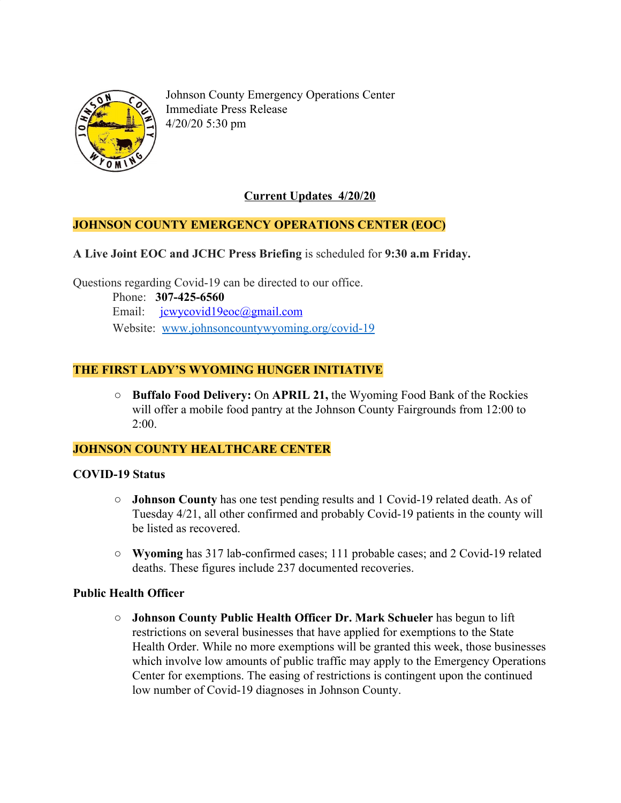

Johnson County Emergency Operations Center Immediate Press Release 4/20/20 5:30 pm

## **Current Updates 4/20/20**

#### **JOHNSON COUNTY EMERGENCY OPERATIONS CENTER (EOC)**

**A Live Joint EOC and JCHC Press Briefing** is scheduled for **9:30 a.m Friday.**

Questions regarding Covid-19 can be directed to our office.

 Phone: **307-425-6560** Email: [jcwycovid19eoc@gmail.com](mailto:jcwycovid19eoc@gmail.com) Website: [www.johnsoncountywyoming.org/covid-19](http://www.johnsoncountywyoming.org/covid-19)

## **THE FIRST LADY'S WYOMING HUNGER INITIATIVE**

**○ Buffalo Food Delivery:** On **APRIL 21,** the [Wyoming Food Bank of the Rockies](http://wyomingfoodbank.org/) will offer a mobile food pantry at the Johnson County Fairgrounds from 12:00 to 2:00.

#### **JOHNSON COUNTY HEALTHCARE CENTER**

#### **COVID-19 Status**

- **○ Johnson County** has one test pending results and 1 Covid-19 related death. As of Tuesday 4/21, all other confirmed and probably Covid-19 patients in the county will be listed as recovered.
- **○ Wyoming** has 317 lab-confirmed cases; 111 probable cases; and 2 Covid-19 related deaths. These figures include 237 documented recoveries.

#### **Public Health Officer**

**○ Johnson County Public Health Officer Dr. Mark Schueler** has begun to lift restrictions on several businesses that have applied for exemptions to the State Health Order. While no more exemptions will be granted this week, those businesses which involve low amounts of public traffic may apply to the Emergency Operations Center for exemptions. The easing of restrictions is contingent upon the continued low number of Covid-19 diagnoses in Johnson County.